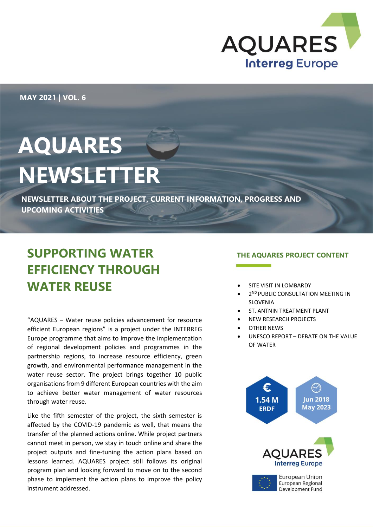

**MAY 2021 | VOL. 6**

# **AQUARES NEWSLETTER**

**NEWSLETTER ABOUT THE PROJECT, CURRENT INFORMATION, PROGRESS AND UPCOMING ACTIVITIES**

# **SUPPORTING WATER EFFICIENCY THROUGH WATER REUSE**

"AQUARES – Water reuse policies advancement for resource efficient European regions" is a project under the INTERREG Europe programme that aims to improve the implementation of regional development policies and programmes in the partnership regions, to increase resource efficiency, green growth, and environmental performance management in the water reuse sector. The project brings together 10 public organisations from 9 different European countries with the aim to achieve better water management of water resources through water reuse.

Like the fifth semester of the project, the sixth semester is affected by the COVID-19 pandemic as well, that means the transfer of the planned actions online. While project partners cannot meet in person, we stay in touch online and share the project outputs and fine-tuning the action plans based on lessons learned. AQUARES project still follows its original program plan and looking forward to move on to the second phase to implement the action plans to improve the policy instrument addressed.

#### **THE AQUARES PROJECT CONTENT**

- SITE VISIT IN LOMBARDY
- **2ND PUBLIC CONSULTATION MEETING IN** SLOVENIA
- ST. ANTNIN TREATMENT PLANT
- NEW RESEARCH PROJECTS
- OTHER NEWS
- UNESCO REPORT DEBATE ON THE VALUE OF WATER

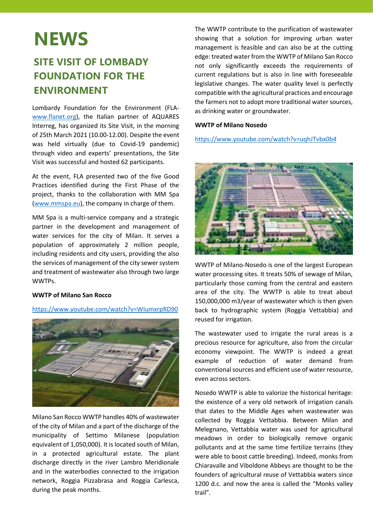# **NEWS**

### **SITE VISIT OF LOMBADY FOUNDATION FOR THE ENVIRONMENT**

Lombardy Foundation for the Environment (FLAwww.flanet.org), the Italian partner of AQUARES Interreg, has organized its Site Visit, in the morning of 25th March 2021 (10.00-12.00). Despite the event was held virtually (due to Covid-19 pandemic) through video and experts' presentations, the Site Visit was successful and hosted 62 participants.

At the event, FLA presented two of the five Good Practices identified during the First Phase of the project, thanks to the collaboration with MM Spa (www.mmspa.eu), the company in charge of them.

MM Spa is a multi-service company and a strategic partner in the development and management of water services for the city of Milan. It serves a population of approximately 2 million people, including residents and city users, providing the also the services of management of the city sewer system and treatment of wastewater also through two large WWTPs.

#### **WWTP of Milano San Rocco**

#### <https://www.youtube.com/watch?v=WIumxrpRD90>



Milano San Rocco WWTP handles 40% of wastewater of the city of Milan and a part of the discharge of the municipality of Settimo Milanese (population equivalent of 1,050,000). It is located south of Milan, in a protected agricultural estate. The plant discharge directly in the river Lambro Meridionale and in the waterbodies connected to the irrigation network, Roggia Pizzabrasa and Roggia Carlesca, during the peak months.

The WWTP contribute to the purification of wastewater showing that a solution for improving urban water management is feasible and can also be at the cutting edge: treated water from the WWTP of Milano San Rocco not only significantly exceeds the requirements of current regulations but is also in line with foreseeable legislative changes. The water quality level is perfectly compatible with the agricultural practices and encourage the farmers not to adopt more traditional water sources, as drinking water or groundwater.

#### **WWTP of Milano Nosedo**

<https://www.youtube.com/watch?v=uqhJTvbx0b4>



WWTP of Milano-Nosedo is one of the largest European water processing sites. It treats 50% of sewage of Milan, particularly those coming from the central and eastern area of the city. The WWTP is able to treat about 150,000,000 m3/year of wastewater which is then given back to hydrographic system (Roggia Vettabbia) and reused for irrigation.

The wastewater used to irrigate the rural areas is a precious resource for agriculture, also from the circular economy viewpoint. The WWTP is indeed a great example of reduction of water demand from conventional sources and efficient use of water resource, even across sectors.

Nosedo WWTP is able to valorize the historical heritage: the existence of a very old network of irrigation canals that dates to the Middle Ages when wastewater was collected by Roggia Vettabbia. Between Milan and Melegnano, Vettabbia water was used for agricultural meadows in order to biologically remove organic pollutants and at the same time fertilize terrains (they were able to boost cattle breeding). Indeed, monks from Chiaravalle and Viboldone Abbeys are thought to be the founders of agricultural reuse of Vettabbia waters since 1200 d.c. and now the area is called the "Monks valley trail".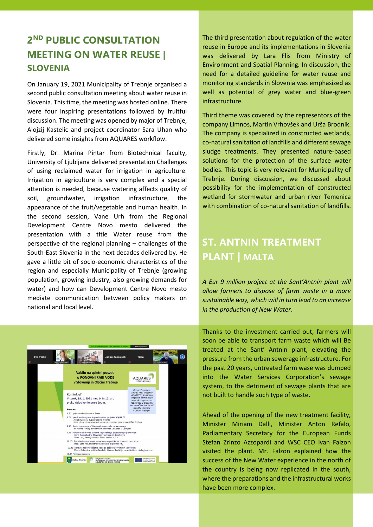### **2 ND PUBLIC CONSULTATION MEETING ON WATER REUSE | SLOVENIA**

On January 19, 2021 Municipality of Trebnje organised a second public consultation meeting about water reuse in Slovenia. This time, the meeting was hosted online. There were four inspiring presentations followed by fruitful discussion. The meeting was opened by major of Trebnje, Alojzij Kastelic and project coordinator Sara Uhan who delivered some insights from AQUARES workflow.

Firstly, Dr. Marina Pintar from Biotechnical faculty, University of Ljubljana delivered presentation Challenges of using reclaimed water for irrigation in agriculture. Irrigation in agriculture is very complex and a special attention is needed, because watering affects quality of soil, groundwater, irrigation infrastructure, the appearance of the fruit/vegetable and human health. In the second session, Vane Urh from the Regional Development Centre Novo mesto delivered the presentation with a title Water reuse from the perspective of the regional planning – challenges of the South-East Slovenia in the next decades delivered by. He gave a little bit of socio-economic characteristics of the region and especially Municipality of Trebnje (growing population, growing industry, also growing demands for water) and how can Development Centre Novo mesto mediate communication between policy makers on national and local level.



The third presentation about regulation of the water reuse in Europe and its implementations in Slovenia was delivered by Lara Flis from Ministry of Environment and Spatial Planning. In discussion, the need for a detailed guideline for water reuse and monitoring standards in Slovenia was emphasized as well as potential of grey water and blue-green infrastructure.

Third theme was covered by the representors of the company Limnos, Martin Vrhovšek and Urša Brodnik. The company is specialized in constructed wetlands, co-natural sanitation of landfills and different sewage sludge treatments. They presented nature-based solutions for the protection of the surface water bodies. This topic is very relevant for Municipality of Trebnje. During discussion, we discussed about possibility for the implementation of constructed wetland for stormwater and urban river Temenica with combination of co-natural sanitation of landfills.

### **ST. ANTNIN TREATMENT PLANT | MALTA**

*A Eur 9 million project at the Sant'Antnin plant will allow farmers to dispose of farm waste in a more sustainable way, which will in turn lead to an increase in the production of New Water*.

Thanks to the investment carried out, farmers will soon be able to transport farm waste which will Be treated at the Sant' Antnin plant, elevating the pressure from the urban sewerage infrastructure. For the past 20 years, untreated farm wase was dumped into the Water Services Corporation's sewage system, to the detriment of sewage plants that are not built to handle such type of waste.

Ahead of the opening of the new treatment facility, Minister Miriam Dalli, Minister Anton Refalo, Parliamentary Secretary for the European Funds Stefan Zrinzo Azzopardi and WSC CEO Ivan Falzon visited the plant. Mr. Falzon explained how the success of the New Water experience in the north of the country is being now replicated in the south, where the preparations and the infrastructural works have been more complex.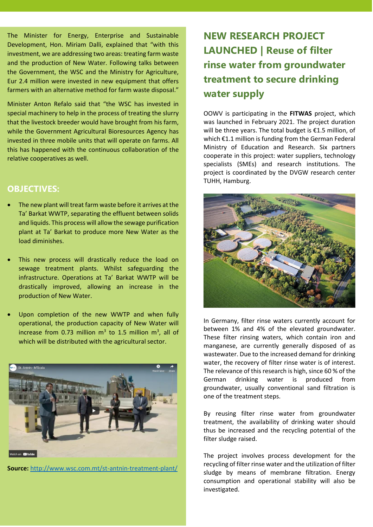The Minister for Energy, Enterprise and Sustainable Development, Hon. Miriam Dalli, explained that "with this investment, we are addressing two areas: treating farm waste and the production of New Water. Following talks between the Government, the WSC and the Ministry for Agriculture, Eur 2.4 million were invested in new equipment that offers farmers with an alternative method for farm waste disposal."

Minister Anton Refalo said that "the WSC has invested in special machinery to help in the process of treating the slurry that the livestock breeder would have brought from his farm, while the Government Agricultural Bioresources Agency has invested in three mobile units that will operate on farms. All this has happened with the continuous collaboration of the relative cooperatives as well.

### **OBJECTIVES:**

- The new plant will treat farm waste before it arrives at the Ta' Barkat WWTP, separating the effluent between solids and liquids. This process will allow the sewage purification plant at Ta' Barkat to produce more New Water as the load diminishes.
- This new process will drastically reduce the load on sewage treatment plants. Whilst safeguarding the infrastructure. Operations at Ta' Barkat WWTP will be drastically improved, allowing an increase in the production of New Water.
- Upon completion of the new WWTP and when fully operational, the production capacity of New Water will increase from 0.73 million  $m^3$  to 1.5 million  $m^3$ , all of which will be distributed with the agricultural sector.



**Source:** <http://www.wsc.com.mt/st-antnin-treatment-plant/>

## **NEW RESEARCH PROJECT LAUNCHED | Reuse of filter rinse water from groundwater treatment to secure drinking water supply**

OOWV is participating in the **FITWAS** project, which was launched in February 2021. The project duration will be three years. The total budget is €1.5 million, of which €1.1 million is funding from the German Federal Ministry of Education and Research. Six partners cooperate in this project: water suppliers, technology specialists (SMEs) and research institutions. The project is coordinated by the DVGW research center TUHH, Hamburg.



In Germany, filter rinse waters currently account for between 1% and 4% of the elevated groundwater. These filter rinsing waters, which contain iron and manganese, are currently generally disposed of as wastewater. Due to the increased demand for drinking water, the recovery of filter rinse water is of interest. The relevance of this research is high, since 60 % of the German drinking water is produced from groundwater, usually conventional sand filtration is one of the treatment steps.

By reusing filter rinse water from groundwater treatment, the availability of drinking water should thus be increased and the recycling potential of the filter sludge raised.

The project involves process development for the recycling of filter rinse water and the utilization of filter sludge by means of membrane filtration. Energy consumption and operational stability will also be investigated.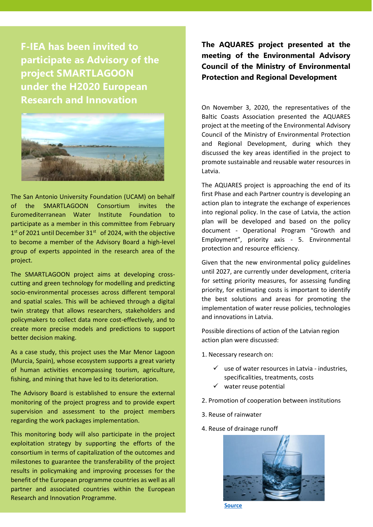**F-IEA has been invited to participate as Advisory of the project SMARTLAGOON under the H2020 European Research and Innovation** 



The San Antonio University Foundation (UCAM) on behalf of the SMARTLAGOON Consortium invites the Euromediterranean Water Institute Foundation to participate as a member in this committee from February  $1<sup>st</sup>$  of 2021 until December 31 $<sup>st</sup>$  of 2024, with the objective</sup> to become a member of the Advisory Board a high-level group of experts appointed in the research area of the project.

The SMARTLAGOON project aims at developing crosscutting and green technology for modelling and predicting socio-environmental processes across different temporal and spatial scales. This will be achieved through a digital twin strategy that allows researchers, stakeholders and policymakers to collect data more cost-effectively, and to create more precise models and predictions to support better decision making.

As a case study, this project uses the Mar Menor Lagoon (Murcia, Spain), whose ecosystem supports a great variety of human activities encompassing tourism, agriculture, fishing, and mining that have led to its deterioration.

The Advisory Board is established to ensure the external monitoring of the project progress and to provide expert supervision and assessment to the project members regarding the work packages implementation.

This monitoring body will also participate in the project exploitation strategy by supporting the efforts of the consortium in terms of capitalization of the outcomes and milestones to guarantee the transferability of the project results in policymaking and improving processes for the benefit of the European programme countries as well as all partner and associated countries within the European Research and Innovation Programme.

**The AQUARES project presented at the meeting of the Environmental Advisory Council of the Ministry of Environmental Protection and Regional Development**

On November 3, 2020, the representatives of the Baltic Coasts Association presented the AQUARES project at the meeting of the Environmental Advisory Council of the Ministry of Environmental Protection and Regional Development, during which they discussed the key areas identified in the project to promote sustainable and reusable water resources in Latvia.

The AQUARES project is approaching the end of its first Phase and each Partner country is developing an action plan to integrate the exchange of experiences into regional policy. In the case of Latvia, the action plan will be developed and based on the policy document - Operational Program "Growth and Employment", priority axis - 5. Environmental protection and resource efficiency.

Given that the new environmental policy guidelines until 2027, are currently under development, criteria for setting priority measures, for assessing funding priority, for estimating costs is important to identify the best solutions and areas for promoting the implementation of water reuse policies, technologies and innovations in Latvia.

Possible directions of action of the Latvian region action plan were discussed:

- 1. Necessary research on:
	- $\checkmark$  use of water resources in Latvia industries, specificalities, treatments, costs
	- $\checkmark$  water reuse potential
- 2. Promotion of cooperation between institutions
- 3. Reuse of rainwater
- 4. Reuse of drainage runoff



 **[Source](:http:/baltijaskrasti.lv/blog/projekti/aquares/aquares-piedalas-vides-konsultativas-padomes-sede/)**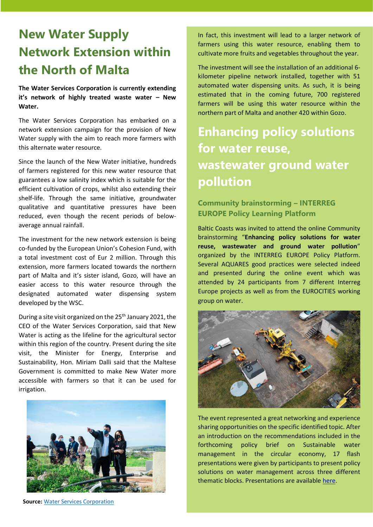# **New Water Supply Network Extension within the North of Malta**

**The Water Services Corporation is currently extending it's network of highly treated waste water – New Water.** 

The Water Services Corporation has embarked on a network extension campaign for the provision of New Water supply with the aim to reach more farmers with this alternate water resource.

Since the launch of the New Water initiative, hundreds of farmers registered for this new water resource that guarantees a low salinity index which is suitable for the efficient cultivation of crops, whilst also extending their shelf-life. Through the same initiative, groundwater qualitative and quantitative pressures have been reduced, even though the recent periods of belowaverage annual rainfall.

The investment for the new network extension is being co-funded by the European Union's Cohesion Fund, with a total investment cost of Eur 2 million. Through this extension, more farmers located towards the northern part of Malta and it's sister island, Gozo, will have an easier access to this water resource through the designated automated water dispensing system developed by the WSC.

During a site visit organized on the 25<sup>th</sup> January 2021, the CEO of the Water Services Corporation, said that New Water is acting as the lifeline for the agricultural sector within this region of the country. Present during the site visit, the Minister for Energy, Enterprise and Sustainability, Hon. Miriam Dalli said that the Maltese Government is committed to make New Water more accessible with farmers so that it can be used for irrigation.



**Source:** [Water Services Corporation](http://www.wsc.com.mt/tkabbir-tan-network-tan-new-water-fit-tramuntana-ta-malta/)

In fact, this investment will lead to a larger network of farmers using this water resource, enabling them to cultivate more fruits and vegetables throughout the year.

The investment will see the installation of an additional 6 kilometer pipeline network installed, together with 51 automated water dispensing units. As such, it is being estimated that in the coming future, 700 registered farmers will be using this water resource within the northern part of Malta and another 420 within Gozo.

# **Enhancing policy solutions for water reuse, wastewater ground water pollution**

### **Community brainstorming – INTERREG EUROPE Policy Learning Platform**

Baltic Coasts was invited to attend the online Community brainstorming "**Enhancing policy solutions for water reuse, wastewater and ground water pollution**" organized by the INTERREG EUROPE Policy Platform. Several AQUARES good practices were selected indeed and presented during the online event which was attended by 24 participants from 7 different Interreg Europe projects as well as from the EUROCITIES working group on water.



The event represented a great networking and experience sharing opportunities on the specific identified topic. After an introduction on the recommendations included in the forthcoming policy brief on Sustainable water management in the circular economy, 17 flash presentations were given by participants to present policy solutions on water management across three different thematic blocks. Presentations are available [here.](https://www.interregeurope.eu/fileadmin/user_upload/plp_uploads/Online_discussions/Community_Brainstorming_on_Enhancing_policy_solutions_for_water_reuse__waste_water_and_ground_water_pollution.pdf)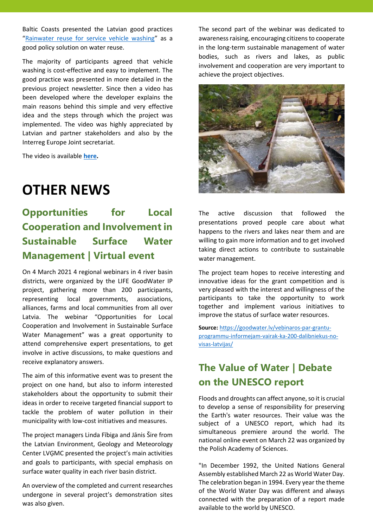Baltic Coasts presented the Latvian good practices "[Rainwater reuse for service vehicle washing](https://www.interregeurope.eu/policylearning/good-practices/item/3759/rainwater-reuse-for-service-vehicle-washing/)" as a good policy solution on water reuse.

The majority of participants agreed that vehicle washing is cost-effective and easy to implement. The good practice was presented in more detailed in the previous project newsletter. Since then a video has been developed where the developer explains the main reasons behind this simple and very effective idea and the steps through which the project was implemented. The video was highly appreciated by Latvian and partner stakeholders and also by the Interreg Europe Joint secretariat.

The video is available **[here.](https://www.youtube.com/watch?v=T5UZfTUnRQM&t=3s)**

# **OTHER NEWS**

### **Opportunities for Local Cooperation and Involvement in Sustainable Surface Water Management | Virtual event**

On 4 March 2021 4 regional webinars in 4 river basin districts, were organized by the LIFE GoodWater IP project, gathering more than 200 participants, representing local governments, associations, alliances, farms and local communities from all over Latvia. The webinar "Opportunities for Local Cooperation and Involvement in Sustainable Surface Water Management" was a great opportunity to attend comprehensive expert presentations, to get involve in active discussions, to make questions and receive explanatory answers.

The aim of this informative event was to present the project on one hand, but also to inform interested stakeholders about the opportunity to submit their ideas in order to receive targeted financial support to tackle the problem of water pollution in their municipality with low-cost initiatives and measures.

The project managers Linda Fībiga and Jānis Šire from the Latvian Environment, Geology and Meteorology Center LVĢMC presented the project's main activities and goals to participants, with special emphasis on surface water quality in each river basin district.

An overview of the completed and current researches undergone in several project's demonstration sites was also given.

The second part of the webinar was dedicated to awareness raising, encouraging citizens to cooperate in the long-term sustainable management of water bodies, such as rivers and lakes, as public involvement and cooperation are very important to achieve the project objectives.



The active discussion that followed the presentations proved people care about what happens to the rivers and lakes near them and are willing to gain more information and to get involved taking direct actions to contribute to sustainable water management.

The project team hopes to receive interesting and innovative ideas for the grant competition and is very pleased with the interest and willingness of the participants to take the opportunity to work together and implement various initiatives to improve the status of surface water resources.

**Source:** [https://goodwater.lv/vebinaros-par-grantu](https://goodwater.lv/vebinaros-par-grantu-programmu-informejam-vairak-ka-200-dalibniekus-no-visas-latvijas/)[programmu-informejam-vairak-ka-200-dalibniekus-no](https://goodwater.lv/vebinaros-par-grantu-programmu-informejam-vairak-ka-200-dalibniekus-no-visas-latvijas/)[visas-latvijas/](https://goodwater.lv/vebinaros-par-grantu-programmu-informejam-vairak-ka-200-dalibniekus-no-visas-latvijas/)

### **The Value of Water | Debate on the UNESCO report**

Floods and droughts can affect anyone, so it is crucial to develop a sense of responsibility for preserving the Earth's water resources. Their value was the subject of a UNESCO report, which had its simultaneous premiere around the world. The national online event on March 22 was organized by the Polish Academy of Sciences.

"In December 1992, the United Nations General Assembly established March 22 as World Water Day. The celebration began in 1994. Every year the theme of the World Water Day was different and always connected with the preparation of a report made available to the world by UNESCO.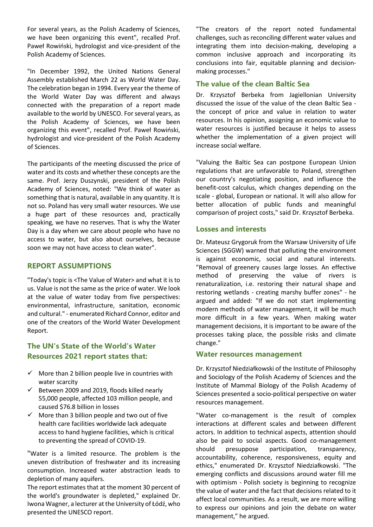For several years, as the Polish Academy of Sciences, we have been organizing this event", recalled Prof. Paweł Rowiński, hydrologist and vice-president of the Polish Academy of Sciences.

"In December 1992, the United Nations General Assembly established March 22 as World Water Day. The celebration began in 1994. Every year the theme of the World Water Day was different and always connected with the preparation of a report made available to the world by UNESCO. For several years, as the Polish Academy of Sciences, we have been organizing this event", recalled Prof. Paweł Rowiński, hydrologist and vice-president of the Polish Academy of Sciences.

The participants of the meeting discussed the price of water and its costs and whether these concepts are the same. Prof. Jerzy Duszynski, president of the Polish Academy of Sciences, noted: "We think of water as something that is natural, available in any quantity. It is not so. Poland has very small water resources. We use a huge part of these resources and, practically speaking, we have no reserves. That is why the Water Day is a day when we care about people who have no access to water, but also about ourselves, because soon we may not have access to clean water".

### **REPORT ASSUMPTIONS**

"Today's topic is <The Value of Water> and what it is to us. Value is not the same as the price of water. We look at the value of water today from five perspectives: environmental, infrastructure, sanitation, economic and cultural." - enumerated Richard Connor, editor and one of the creators of the World Water Development Report.

### **The UN's State of the World's Water Resources 2021 report states that:**

- $\checkmark$  More than 2 billion people live in countries with water scarcity
- $\checkmark$  Between 2009 and 2019, floods killed nearly 55,000 people, affected 103 million people, and caused \$76.8 billion in losses
- $\checkmark$  More than 3 billion people and two out of five health care facilities worldwide lack adequate access to hand hygiene facilities, which is critical to preventing the spread of COVID-19.

"Water is a limited resource. The problem is the uneven distribution of freshwater and its increasing consumption. Increased water abstraction leads to depletion of many aquifers.

The report estimates that at the moment 30 percent of the world's groundwater is depleted," explained Dr. Iwona Wagner, a lecturer at the University of Łódź, who presented the UNESCO report.

"The creators of the report noted fundamental challenges, such as reconciling different water values and integrating them into decision-making, developing a common inclusive approach and incorporating its conclusions into fair, equitable planning and decisionmaking processes."

### **The value of the clean Baltic Sea**

Dr. Krzysztof Berbeka from Jagiellonian University discussed the issue of the value of the clean Baltic Sea the concept of price and value in relation to water resources. In his opinion, assigning an economic value to water resources is justified because it helps to assess whether the implementation of a given project will increase social welfare.

"Valuing the Baltic Sea can postpone European Union regulations that are unfavorable to Poland, strengthen our country's negotiating position, and influence the benefit-cost calculus, which changes depending on the scale - global, European or national. It will also allow for better allocation of public funds and meaningful comparison of project costs," said Dr. Krzysztof Berbeka.

#### **Losses and interests**

Dr. Mateusz Grygoruk from the Warsaw University of Life Sciences (SGGW) warned that polluting the environment is against economic, social and natural interests. "Removal of greenery causes large losses. An effective method of preserving the value of rivers is renaturalization, i.e. restoring their natural shape and restoring wetlands - creating marshy buffer zones" - he argued and added: "If we do not start implementing modern methods of water management, it will be much more difficult in a few years. When making water management decisions, it is important to be aware of the processes taking place, the possible risks and climate change."

#### **Water resources management**

Dr. Krzysztof Niedziałkowski of the Institute of Philosophy and Sociology of the Polish Academy of Sciences and the Institute of Mammal Biology of the Polish Academy of Sciences presented a socio-political perspective on water resources management.

"Water co-management is the result of complex interactions at different scales and between different actors. In addition to technical aspects, attention should also be paid to social aspects. Good co-management should presuppose participation, transparency, accountability, coherence, responsiveness, equity and ethics," enumerated Dr. Krzysztof Niedziałkowski. "The emerging conflicts and discussions around water fill me with optimism - Polish society is beginning to recognize the value of water and the fact that decisions related to it affect local communities. As a result, we are more willing to express our opinions and join the debate on water management," he argued.